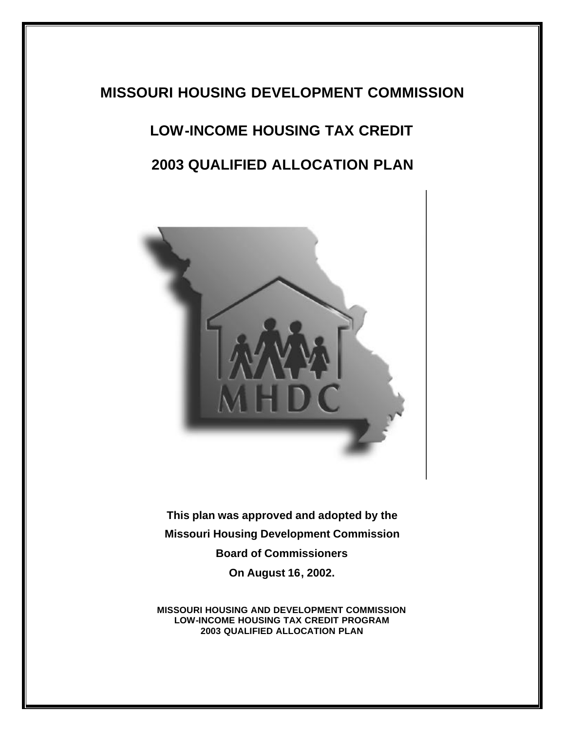# **MISSOURI HOUSING DEVELOPMENT COMMISSION**

# **LOW-INCOME HOUSING TAX CREDIT**

# **2003 QUALIFIED ALLOCATION PLAN**



**This plan was approved and adopted by the Missouri Housing Development Commission Board of Commissioners On August 16, 2002.**

**MISSOURI HOUSING AND DEVELOPMENT COMMISSION LOW-INCOME HOUSING TAX CREDIT PROGRAM 2003 QUALIFIED ALLOCATION PLAN**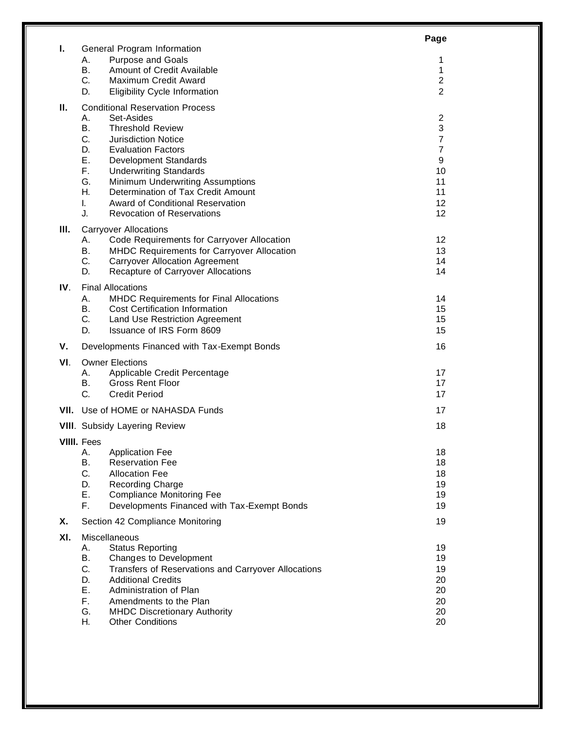|     |                                                            |                                                                                     | Page                  |  |
|-----|------------------------------------------------------------|-------------------------------------------------------------------------------------|-----------------------|--|
| ı.  | А.                                                         | General Program Information<br><b>Purpose and Goals</b>                             | 1                     |  |
|     | В.                                                         | Amount of Credit Available                                                          | 1                     |  |
|     | C.                                                         | Maximum Credit Award                                                                | 2                     |  |
|     | D.                                                         | <b>Eligibility Cycle Information</b>                                                | 2                     |  |
| П.  | <b>Conditional Reservation Process</b><br>А.<br>Set-Asides |                                                                                     |                       |  |
|     | В.                                                         | <b>Threshold Review</b>                                                             | 2<br>3                |  |
|     | C.                                                         | <b>Jurisdiction Notice</b>                                                          | 7                     |  |
|     | D.<br>Е.                                                   | <b>Evaluation Factors</b><br>Development Standards                                  | $\overline{7}$<br>9   |  |
|     | F.                                                         | <b>Underwriting Standards</b>                                                       | 10                    |  |
|     | G.                                                         | Minimum Underwriting Assumptions                                                    | 11                    |  |
|     | Η.<br>I.                                                   | Determination of Tax Credit Amount<br>Award of Conditional Reservation              | 11<br>12 <sub>2</sub> |  |
|     | J.                                                         | <b>Revocation of Reservations</b>                                                   | 12                    |  |
| Ш.  |                                                            | <b>Carryover Allocations</b>                                                        |                       |  |
|     | Α.                                                         | Code Requirements for Carryover Allocation                                          | $12 \overline{ }$     |  |
|     | <b>B.</b><br>C.                                            | MHDC Requirements for Carryover Allocation<br><b>Carryover Allocation Agreement</b> | 13<br>14              |  |
|     | D.                                                         | Recapture of Carryover Allocations                                                  | 14                    |  |
| IV. | <b>Final Allocations</b>                                   |                                                                                     |                       |  |
|     | Α.<br><b>B.</b>                                            | MHDC Requirements for Final Allocations<br><b>Cost Certification Information</b>    | 14<br>15              |  |
|     | C.                                                         | Land Use Restriction Agreement                                                      | 15                    |  |
|     | D.                                                         | Issuance of IRS Form 8609                                                           | 15                    |  |
| ۷.  |                                                            | Developments Financed with Tax-Exempt Bonds                                         | 16                    |  |
| VI. |                                                            | <b>Owner Elections</b>                                                              |                       |  |
|     | А.<br>В.                                                   | Applicable Credit Percentage<br><b>Gross Rent Floor</b>                             | 17<br>17              |  |
|     | C.                                                         | <b>Credit Period</b>                                                                | 17                    |  |
|     | <b>VII.</b> Use of HOME or NAHASDA Funds                   |                                                                                     | 17                    |  |
|     | <b>VIII.</b> Subsidy Layering Review                       |                                                                                     |                       |  |
|     | <b>VIIII.</b> Fees                                         |                                                                                     |                       |  |
|     | Α.<br><b>B.</b>                                            | <b>Application Fee</b><br><b>Reservation Fee</b>                                    | 18<br>18              |  |
|     | C.                                                         | <b>Allocation Fee</b>                                                               | 18                    |  |
|     | D.                                                         | <b>Recording Charge</b>                                                             | 19                    |  |
|     | Ε.<br>F.                                                   | <b>Compliance Monitoring Fee</b><br>Developments Financed with Tax-Exempt Bonds     | 19<br>19              |  |
| Χ.  | Section 42 Compliance Monitoring                           |                                                                                     | 19                    |  |
| XI. | Miscellaneous                                              |                                                                                     |                       |  |
|     | Α.                                                         | <b>Status Reporting</b>                                                             | 19                    |  |
|     | В.<br>C.                                                   | Changes to Development<br>Transfers of Reservations and Carryover Allocations       | 19<br>19              |  |
|     | D.                                                         | <b>Additional Credits</b>                                                           | 20                    |  |
|     | Ε.                                                         | Administration of Plan                                                              | 20                    |  |
|     | F.<br>G.                                                   | Amendments to the Plan<br><b>MHDC Discretionary Authority</b>                       | 20<br>20              |  |
|     | Н.                                                         | <b>Other Conditions</b>                                                             | 20                    |  |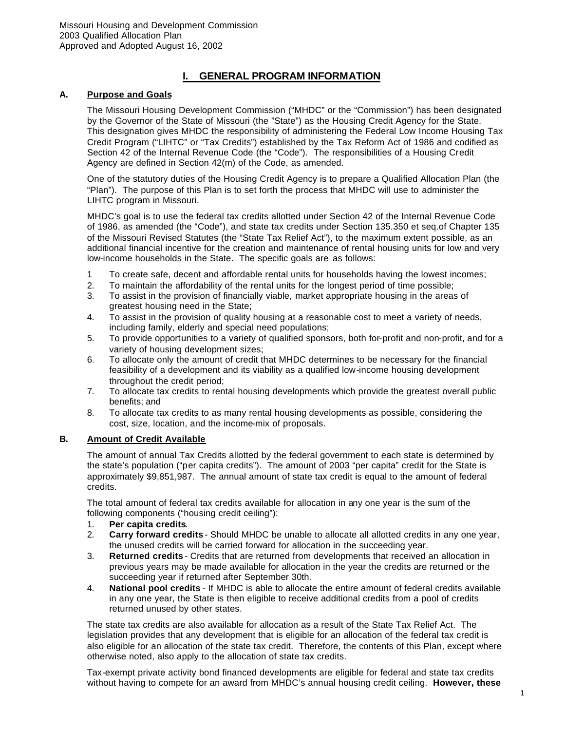# **I. GENERAL PROGRAM INFORMATION**

#### **A. Purpose and Goals**

The Missouri Housing Development Commission ("MHDC" or the "Commission") has been designated by the Governor of the State of Missouri (the "State") as the Housing Credit Agency for the State. This designation gives MHDC the responsibility of administering the Federal Low Income Housing Tax Credit Program ("LIHTC" or "Tax Credits") established by the Tax Reform Act of 1986 and codified as Section 42 of the Internal Revenue Code (the "Code"). The responsibilities of a Housing Credit Agency are defined in Section 42(m) of the Code, as amended.

One of the statutory duties of the Housing Credit Agency is to prepare a Qualified Allocation Plan (the "Plan"). The purpose of this Plan is to set forth the process that MHDC will use to administer the LIHTC program in Missouri.

MHDC's goal is to use the federal tax credits allotted under Section 42 of the Internal Revenue Code of 1986, as amended (the "Code"), and state tax credits under Section 135.350 et seq.of Chapter 135 of the Missouri Revised Statutes (the "State Tax Relief Act"), to the maximum extent possible, as an additional financial incentive for the creation and maintenance of rental housing units for low and very low-income households in the State. The specific goals are as follows:

- 1 To create safe, decent and affordable rental units for households having the lowest incomes;
- 2. To maintain the affordability of the rental units for the longest period of time possible;
- 3. To assist in the provision of financially viable, market appropriate housing in the areas of greatest housing need in the State;
- 4. To assist in the provision of quality housing at a reasonable cost to meet a variety of needs, including family, elderly and special need populations;
- 5. To provide opportunities to a variety of qualified sponsors, both for-profit and non-profit, and for a variety of housing development sizes;
- 6. To allocate only the amount of credit that MHDC determines to be necessary for the financial feasibility of a development and its viability as a qualified low-income housing development throughout the credit period;
- 7. To allocate tax credits to rental housing developments which provide the greatest overall public benefits; and
- 8. To allocate tax credits to as many rental housing developments as possible, considering the cost, size, location, and the income-mix of proposals.

#### **B. Amount of Credit Available**

The amount of annual Tax Credits allotted by the federal government to each state is determined by the state's population ("per capita credits"). The amount of 2003 "per capita" credit for the State is approximately \$9,851,987. The annual amount of state tax credit is equal to the amount of federal credits.

The total amount of federal tax credits available for allocation in any one year is the sum of the following components ("housing credit ceiling"):

- 1. **Per capita credits**.
- 2. **Carry forward credits** Should MHDC be unable to allocate all allotted credits in any one year, the unused credits will be carried forward for allocation in the succeeding year.
- 3. **Returned credits** Credits that are returned from developments that received an allocation in previous years may be made available for allocation in the year the credits are returned or the succeeding year if returned after September 30th.
- 4. **National pool credits** If MHDC is able to allocate the entire amount of federal credits available in any one year, the State is then eligible to receive additional credits from a pool of credits returned unused by other states.

The state tax credits are also available for allocation as a result of the State Tax Relief Act. The legislation provides that any development that is eligible for an allocation of the federal tax credit is also eligible for an allocation of the state tax credit. Therefore, the contents of this Plan, except where otherwise noted, also apply to the allocation of state tax credits.

Tax-exempt private activity bond financed developments are eligible for federal and state tax credits without having to compete for an award from MHDC's annual housing credit ceiling. **However, these**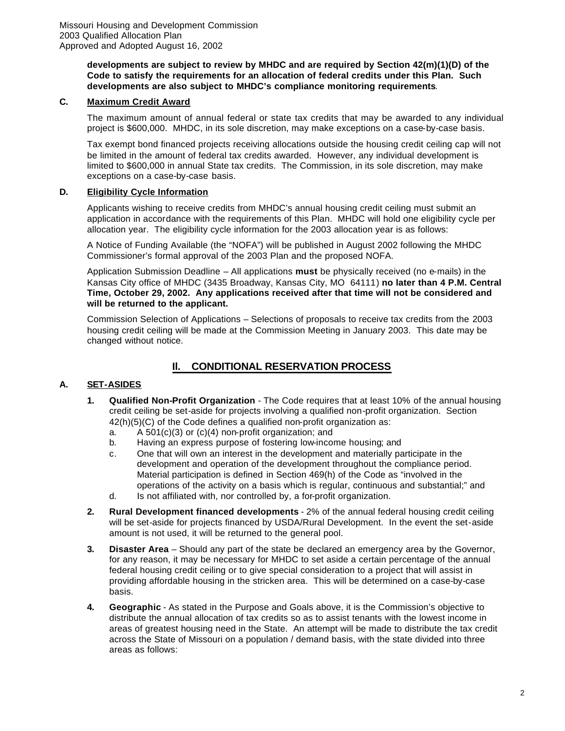#### **developments are subject to review by MHDC and are required by Section 42(m)(1)(D) of the Code to satisfy the requirements for an allocation of federal credits under this Plan. Such developments are also subject to MHDC's compliance monitoring requirements**.

# **C. Maximum Credit Award**

The maximum amount of annual federal or state tax credits that may be awarded to any individual project is \$600,000. MHDC, in its sole discretion, may make exceptions on a case-by-case basis.

Tax exempt bond financed projects receiving allocations outside the housing credit ceiling cap will not be limited in the amount of federal tax credits awarded. However, any individual development is limited to \$600,000 in annual State tax credits. The Commission, in its sole discretion, may make exceptions on a case-by-case basis.

#### **D. Eligibility Cycle Information**

Applicants wishing to receive credits from MHDC's annual housing credit ceiling must submit an application in accordance with the requirements of this Plan. MHDC will hold one eligibility cycle per allocation year. The eligibility cycle information for the 2003 allocation year is as follows:

A Notice of Funding Available (the "NOFA") will be published in August 2002 following the MHDC Commissioner's formal approval of the 2003 Plan and the proposed NOFA.

Application Submission Deadline – All applications **must** be physically received (no e-mails) in the Kansas City office of MHDC (3435 Broadway, Kansas City, MO 64111) **no later than 4 P.M. Central Time, October 29, 2002. Any applications received after that time will not be considered and will be returned to the applicant.**

Commission Selection of Applications – Selections of proposals to receive tax credits from the 2003 housing credit ceiling will be made at the Commission Meeting in January 2003. This date may be changed without notice.

# **Il. CONDITIONAL RESERVATION PROCESS**

# **A. SET-ASIDES**

- **1. Qualified Non-Profit Organization** The Code requires that at least 10% of the annual housing credit ceiling be set-aside for projects involving a qualified non-profit organization. Section 42(h)(5)(C) of the Code defines a qualified non-profit organization as:
	- a. A 501(c)(3) or (c)(4) non-profit organization; and
	- b. Having an express purpose of fostering low-income housing; and
	- c. One that will own an interest in the development and materially participate in the development and operation of the development throughout the compliance period. Material participation is defined in Section 469(h) of the Code as "involved in the operations of the activity on a basis which is regular, continuous and substantial;" and
	- d. Is not affiliated with, nor controlled by, a for-profit organization.
- **2. Rural Development financed developments** 2% of the annual federal housing credit ceiling will be set-aside for projects financed by USDA/Rural Development. In the event the set-aside amount is not used, it will be returned to the general pool.
- **3. Disaster Area** Should any part of the state be declared an emergency area by the Governor, for any reason, it may be necessary for MHDC to set aside a certain percentage of the annual federal housing credit ceiling or to give special consideration to a project that will assist in providing affordable housing in the stricken area. This will be determined on a case-by-case basis.
- **4. Geographic** As stated in the Purpose and Goals above, it is the Commission's objective to distribute the annual allocation of tax credits so as to assist tenants with the lowest income in areas of greatest housing need in the State. An attempt will be made to distribute the tax credit across the State of Missouri on a population / demand basis, with the state divided into three areas as follows: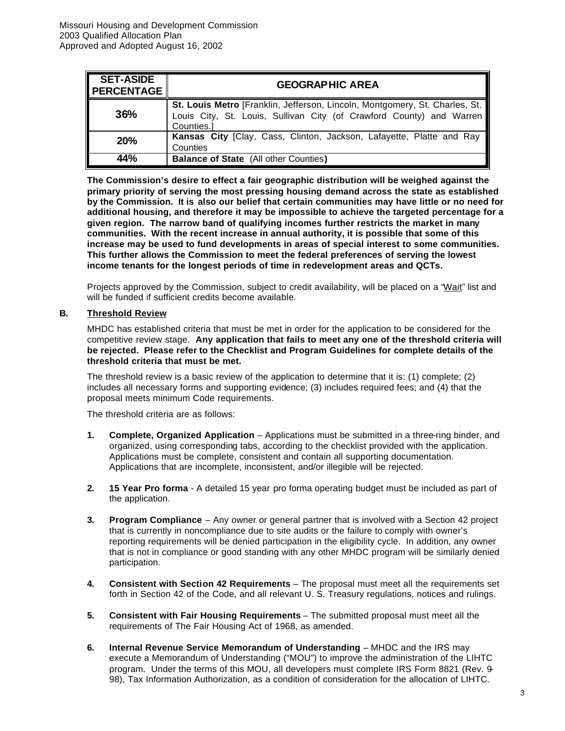| <b>SET-ASIDE</b><br><b>PERCENTAGE</b> | <b>GEOGRAPHIC AREA</b>                                                                                                                                            |
|---------------------------------------|-------------------------------------------------------------------------------------------------------------------------------------------------------------------|
| 36%                                   | St. Louis Metro [Franklin, Jefferson, Lincoln, Montgomery, St. Charles, St.<br>Louis City, St. Louis, Sullivan City (of Crawford County) and Warren<br>Counties.] |
| <b>20%</b>                            | Kansas City [Clay, Cass, Clinton, Jackson, Lafayette, Platte and Ray<br>Counties                                                                                  |
| 44%                                   | <b>Balance of State (All other Counties)</b>                                                                                                                      |

**The Commission's desire to effect a fair geographic distribution will be weighed against the primary priority of serving the most pressing housing demand across the state as established by the Commission. It is also our belief that certain communities may have little or no need for additional housing, and therefore it may be impossible to achieve the targeted percentage for a given region. The narrow band of qualifying incomes further restricts the market in many communities. With the recent increase in annual authority, it is possible that some of this increase may be used to fund developments in areas of special interest to some communities. This further allows the Commission to meet the federal preferences of serving the lowest income tenants for the longest periods of time in redevelopment areas and QCTs.**

Projects approved by the Commission, subject to credit availability, will be placed on a "Wait" list and will be funded if sufficient credits become available.

#### **B. Threshold Review**

MHDC has established criteria that must be met in order for the application to be considered for the competitive review stage. **Any application that fails to meet any one of the threshold criteria will be rejected. Please refer to the Checklist and Program Guidelines for complete details of the threshold criteria that must be met.**

The threshold review is a basic review of the application to determine that it is: (1) complete; (2) includes all necessary forms and supporting evidence; (3) includes required fees; and (4) that the proposal meets minimum Code requirements.

The threshold criteria are as follows:

- **1. Complete, Organized Application** Applications must be submitted in a three-ring binder, and organized, using corresponding tabs, according to the checklist provided with the application. Applications must be complete, consistent and contain all supporting documentation. Applications that are incomplete, inconsistent, and/or illegible will be rejected.
- **2. 15 Year Pro forma** A detailed 15 year pro forma operating budget must be included as part of the application.
- **3. Program Compliance** Any owner or general partner that is involved with a Section 42 project that is currently in noncompliance due to site audits or the failure to comply with owner's reporting requirements will be denied participation in the eligibility cycle. In addition, any owner that is not in compliance or good standing with any other MHDC program will be similarly denied participation.
- **4. Consistent with Section 42 Requirements** The proposal must meet all the requirements set forth in Section 42 of the Code, and all relevant U. S. Treasury regulations, notices and rulings.
- **5. Consistent with Fair Housing Requirements** The submitted proposal must meet all the requirements of The Fair Housing Act of 1968, as amended.
- **6. Internal Revenue Service Memorandum of Understanding** MHDC and the IRS may execute a Memorandum of Understanding ("MOU") to improve the administration of the LIHTC program. Under the terms of this MOU, all developers must complete IRS Form 8821 (Rev. 9- 98), Tax Information Authorization, as a condition of consideration for the allocation of LIHTC.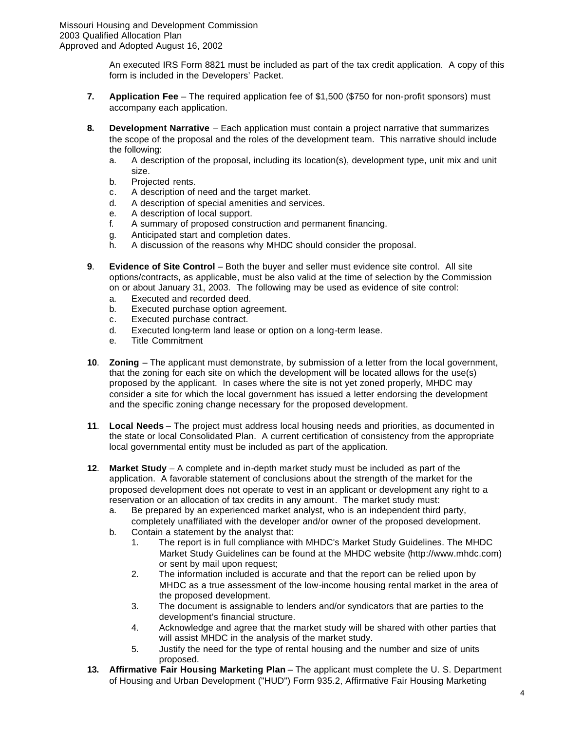An executed IRS Form 8821 must be included as part of the tax credit application. A copy of this form is included in the Developers' Packet.

- **7. Application Fee** The required application fee of \$1,500 (\$750 for non-profit sponsors) must accompany each application.
- **8. Development Narrative** Each application must contain a project narrative that summarizes the scope of the proposal and the roles of the development team. This narrative should include the following:
	- a. A description of the proposal, including its location(s), development type, unit mix and unit size.
	- b. Projected rents.
	- c. A description of need and the target market.
	- d. A description of special amenities and services.
	- e. A description of local support.
	- f. A summary of proposed construction and permanent financing.
	- g. Anticipated start and completion dates.
	- h. A discussion of the reasons why MHDC should consider the proposal.
- **9**. **Evidence of Site Control** Both the buyer and seller must evidence site control. All site options/contracts, as applicable, must be also valid at the time of selection by the Commission on or about January 31, 2003. The following may be used as evidence of site control:
	- a. Executed and recorded deed.
	- b. Executed purchase option agreement.
	- c. Executed purchase contract.
	- d. Executed long-term land lease or option on a long-term lease.
	- e. Title Commitment
- **10**. **Zoning** The applicant must demonstrate, by submission of a letter from the local government, that the zoning for each site on which the development will be located allows for the use(s) proposed by the applicant. In cases where the site is not yet zoned properly, MHDC may consider a site for which the local government has issued a letter endorsing the development and the specific zoning change necessary for the proposed development.
- **11**. **Local Needs** The project must address local housing needs and priorities, as documented in the state or local Consolidated Plan. A current certification of consistency from the appropriate local governmental entity must be included as part of the application.
- **12**. **Market Study** A complete and in-depth market study must be included as part of the application. A favorable statement of conclusions about the strength of the market for the proposed development does not operate to vest in an applicant or development any right to a reservation or an allocation of tax credits in any amount. The market study must:
	- a. Be prepared by an experienced market analyst, who is an independent third party, completely unaffiliated with the developer and/or owner of the proposed development.
	- b. Contain a statement by the analyst that:
		- 1. The report is in full compliance with MHDC's Market Study Guidelines. The MHDC Market Study Guidelines can be found at the MHDC website (http://www.mhdc.com) or sent by mail upon request;
		- 2. The information included is accurate and that the report can be relied upon by MHDC as a true assessment of the low-income housing rental market in the area of the proposed development.
		- 3. The document is assignable to lenders and/or syndicators that are parties to the development's financial structure.
		- 4. Acknowledge and agree that the market study will be shared with other parties that will assist MHDC in the analysis of the market study.
		- 5. Justify the need for the type of rental housing and the number and size of units proposed.
- **13. Affirmative Fair Housing Marketing Plan** The applicant must complete the U. S. Department of Housing and Urban Development ("HUD") Form 935.2, Affirmative Fair Housing Marketing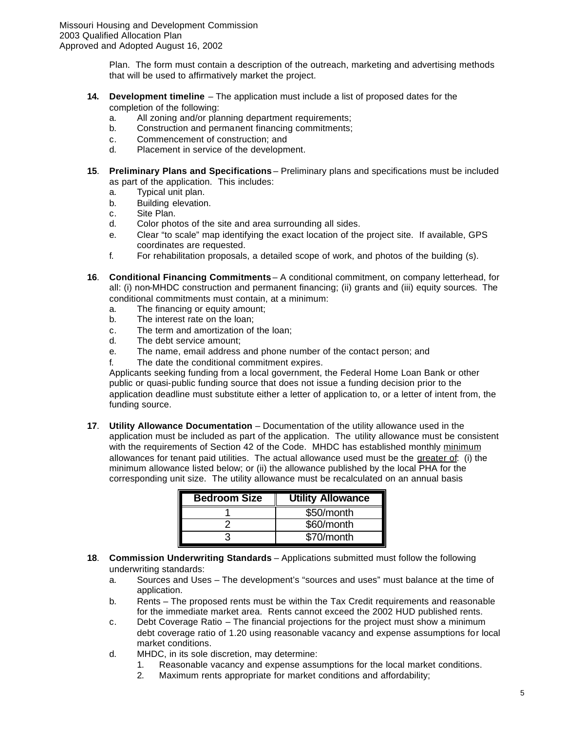Plan. The form must contain a description of the outreach, marketing and advertising methods that will be used to affirmatively market the project.

- **14. Development timeline** The application must include a list of proposed dates for the completion of the following:
	- a. All zoning and/or planning department requirements;
	- b. Construction and permanent financing commitments;
	- c. Commencement of construction; and
	- d. Placement in service of the development.
- **15**. **Preliminary Plans and Specifications** Preliminary plans and specifications must be included as part of the application. This includes:
	- a. Typical unit plan.
	- b. Building elevation.
	- c. Site Plan.
	- d. Color photos of the site and area surrounding all sides.
	- e. Clear "to scale" map identifying the exact location of the project site. If available, GPS coordinates are requested.
	- f. For rehabilitation proposals, a detailed scope of work, and photos of the building (s).
- **16**. **Conditional Financing Commitments** A conditional commitment, on company letterhead, for all: (i) non-MHDC construction and permanent financing; (ii) grants and (iii) equity sources. The conditional commitments must contain, at a minimum:
	- a. The financing or equity amount;
	- b. The interest rate on the loan;
	- c. The term and amortization of the loan;
	- d. The debt service amount;
	- e. The name, email address and phone number of the contact person; and
	- f. The date the conditional commitment expires.

Applicants seeking funding from a local government, the Federal Home Loan Bank or other public or quasi-public funding source that does not issue a funding decision prior to the application deadline must substitute either a letter of application to, or a letter of intent from, the funding source.

**17**. **Utility Allowance Documentation** – Documentation of the utility allowance used in the application must be included as part of the application. The utility allowance must be consistent with the requirements of Section 42 of the Code. MHDC has established monthly minimum allowances for tenant paid utilities. The actual allowance used must be the greater of: (i) the minimum allowance listed below; or (ii) the allowance published by the local PHA for the corresponding unit size. The utility allowance must be recalculated on an annual basis

| <b>Bedroom Size</b> | <b>Utility Allowance</b> |
|---------------------|--------------------------|
|                     | \$50/month               |
|                     | \$60/month               |
|                     | \$70/month               |

- **18**. **Commission Underwriting Standards** Applications submitted must follow the following underwriting standards:
	- a. Sources and Uses The development's "sources and uses" must balance at the time of application.
	- b. Rents The proposed rents must be within the Tax Credit requirements and reasonable for the immediate market area. Rents cannot exceed the 2002 HUD published rents.
	- c. Debt Coverage Ratio The financial projections for the project must show a minimum debt coverage ratio of 1.20 using reasonable vacancy and expense assumptions for local market conditions.
	- d. MHDC, in its sole discretion, may determine:
		- 1. Reasonable vacancy and expense assumptions for the local market conditions.
			- 2. Maximum rents appropriate for market conditions and affordability;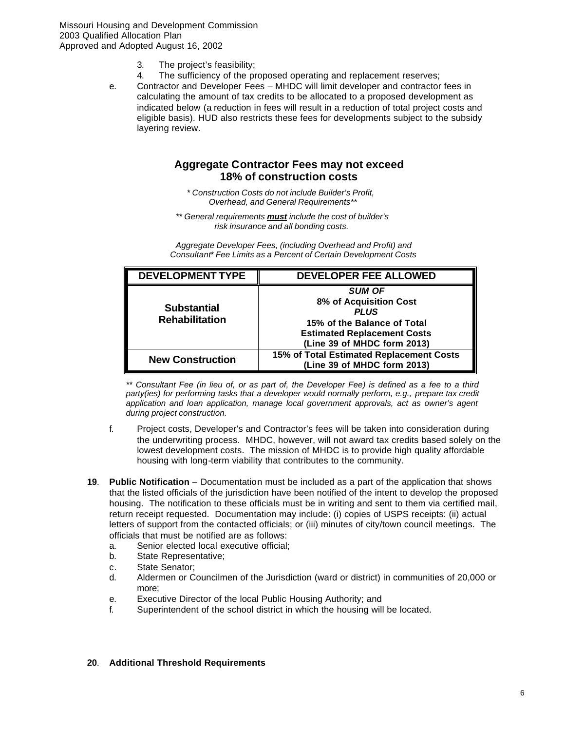- 3. The project's feasibility;
- 4. The sufficiency of the proposed operating and replacement reserves;
- e. Contractor and Developer Fees MHDC will limit developer and contractor fees in calculating the amount of tax credits to be allocated to a proposed development as indicated below (a reduction in fees will result in a reduction of total project costs and eligible basis). HUD also restricts these fees for developments subject to the subsidy layering review.

# **Aggregate Contractor Fees may not exceed 18% of construction costs**

*\* Construction Costs do not include Builder's Profit, Overhead, and General Requirements\*\**

*\*\* General requirements must include the cost of builder's risk insurance and all bonding costs.*

*Aggregate Developer Fees, (including Overhead and Profit) and Consultant\* Fee Limits as a Percent of Certain Development Costs* 

| <b>DEVELOPMENT TYPE</b>                     | <b>DEVELOPER FEE ALLOWED</b>                                                                                                                               |
|---------------------------------------------|------------------------------------------------------------------------------------------------------------------------------------------------------------|
| <b>Substantial</b><br><b>Rehabilitation</b> | <b>SUM OF</b><br>8% of Acquisition Cost<br><b>PLUS</b><br>15% of the Balance of Total<br><b>Estimated Replacement Costs</b><br>(Line 39 of MHDC form 2013) |
| <b>New Construction</b>                     | 15% of Total Estimated Replacement Costs<br>(Line 39 of MHDC form 2013)                                                                                    |

*\*\* Consultant Fee (in lieu of, or as part of, the Developer Fee) is defined as a fee to a third*  party(ies) for performing tasks that a developer would normally perform, e.g., prepare tax credit *application and loan application, manage local government approvals, act as owner's agent during project construction.*

- f. Project costs, Developer's and Contractor's fees will be taken into consideration during the underwriting process. MHDC, however, will not award tax credits based solely on the lowest development costs. The mission of MHDC is to provide high quality affordable housing with long-term viability that contributes to the community.
- **19**. **Public Notification** Documentation must be included as a part of the application that shows that the listed officials of the jurisdiction have been notified of the intent to develop the proposed housing. The notification to these officials must be in writing and sent to them via certified mail, return receipt requested. Documentation may include: (i) copies of USPS receipts: (ii) actual letters of support from the contacted officials; or (iii) minutes of city/town council meetings. The officials that must be notified are as follows:
	- a. Senior elected local executive official;
	- b. State Representative;
	- c. State Senator;
	- d. Aldermen or Councilmen of the Jurisdiction (ward or district) in communities of 20,000 or more;
	- e. Executive Director of the local Public Housing Authority; and
	- f. Superintendent of the school district in which the housing will be located.

#### **20**. **Additional Threshold Requirements**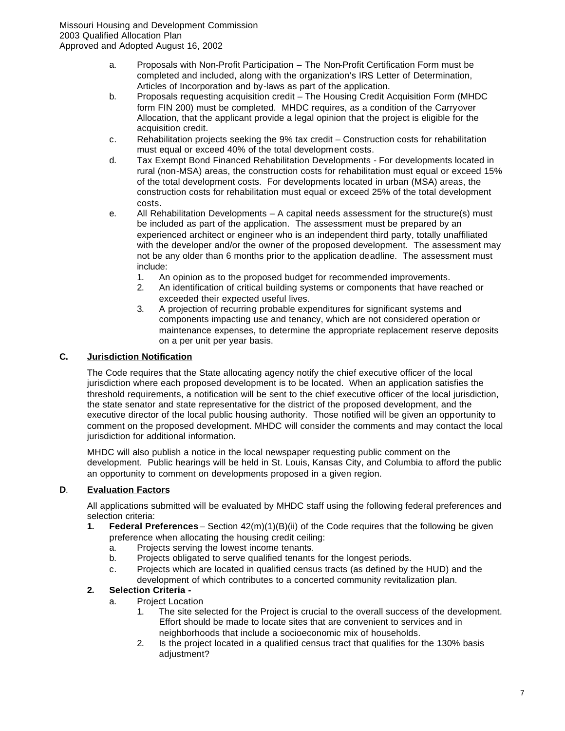- a. Proposals with Non-Profit Participation The Non-Profit Certification Form must be completed and included, along with the organization's IRS Letter of Determination, Articles of Incorporation and by-laws as part of the application.
- b. Proposals requesting acquisition credit The Housing Credit Acquisition Form (MHDC form FIN 200) must be completed. MHDC requires, as a condition of the Carryover Allocation, that the applicant provide a legal opinion that the project is eligible for the acquisition credit.
- c. Rehabilitation projects seeking the 9% tax credit Construction costs for rehabilitation must equal or exceed 40% of the total development costs.
- d. Tax Exempt Bond Financed Rehabilitation Developments For developments located in rural (non-MSA) areas, the construction costs for rehabilitation must equal or exceed 15% of the total development costs. For developments located in urban (MSA) areas, the construction costs for rehabilitation must equal or exceed 25% of the total development costs.
- e. All Rehabilitation Developments A capital needs assessment for the structure(s) must be included as part of the application. The assessment must be prepared by an experienced architect or engineer who is an independent third party, totally unaffiliated with the developer and/or the owner of the proposed development. The assessment may not be any older than 6 months prior to the application deadline. The assessment must include:
	- 1. An opinion as to the proposed budget for recommended improvements.
	- 2. An identification of critical building systems or components that have reached or exceeded their expected useful lives.
	- 3. A projection of recurring probable expenditures for significant systems and components impacting use and tenancy, which are not considered operation or maintenance expenses, to determine the appropriate replacement reserve deposits on a per unit per year basis.

# **C. Jurisdiction Notification**

The Code requires that the State allocating agency notify the chief executive officer of the local jurisdiction where each proposed development is to be located. When an application satisfies the threshold requirements, a notification will be sent to the chief executive officer of the local jurisdiction, the state senator and state representative for the district of the proposed development, and the executive director of the local public housing authority. Those notified will be given an opportunity to comment on the proposed development. MHDC will consider the comments and may contact the local jurisdiction for additional information.

MHDC will also publish a notice in the local newspaper requesting public comment on the development. Public hearings will be held in St. Louis, Kansas City, and Columbia to afford the public an opportunity to comment on developments proposed in a given region.

# **D**. **Evaluation Factors**

All applications submitted will be evaluated by MHDC staff using the following federal preferences and selection criteria:

- **1. Federal Preferences** Section 42(m)(1)(B)(ii) of the Code requires that the following be given preference when allocating the housing credit ceiling:
	- a. Projects serving the lowest income tenants.
	- b. Projects obligated to serve qualified tenants for the longest periods.
	- c. Projects which are located in qualified census tracts (as defined by the HUD) and the development of which contributes to a concerted community revitalization plan.

# **2. Selection Criteria -**

- a. Project Location
	- 1. The site selected for the Project is crucial to the overall success of the development. Effort should be made to locate sites that are convenient to services and in neighborhoods that include a socioeconomic mix of households.
	- 2. Is the project located in a qualified census tract that qualifies for the 130% basis adjustment?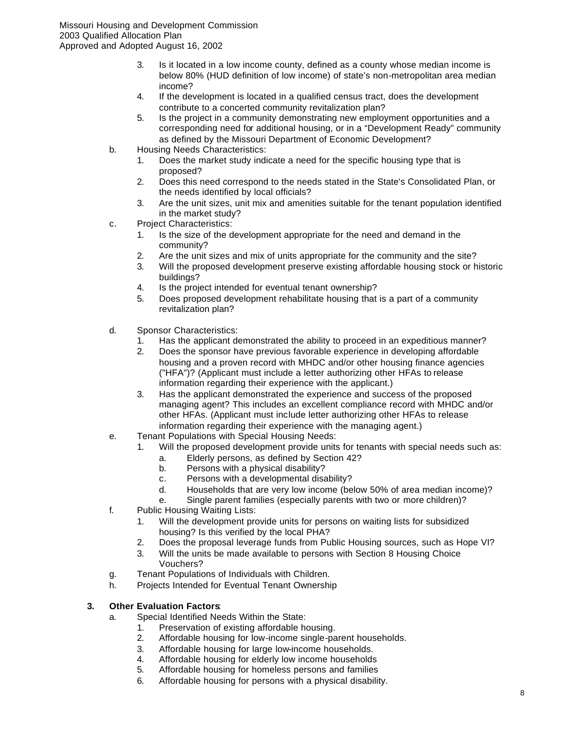- 3. Is it located in a low income county, defined as a county whose median income is below 80% (HUD definition of low income) of state's non-metropolitan area median income?
- 4. If the development is located in a qualified census tract, does the development contribute to a concerted community revitalization plan?
- 5. Is the project in a community demonstrating new employment opportunities and a corresponding need for additional housing, or in a "Development Ready" community as defined by the Missouri Department of Economic Development?
- b. Housing Needs Characteristics:
	- 1. Does the market study indicate a need for the specific housing type that is proposed?
	- 2. Does this need correspond to the needs stated in the State's Consolidated Plan, or the needs identified by local officials?
	- 3. Are the unit sizes, unit mix and amenities suitable for the tenant population identified in the market study?
- c. Project Characteristics:
	- 1. Is the size of the development appropriate for the need and demand in the community?
	- 2. Are the unit sizes and mix of units appropriate for the community and the site?
	- 3. Will the proposed development preserve existing affordable housing stock or historic buildings?
	- 4. Is the project intended for eventual tenant ownership?
	- 5. Does proposed development rehabilitate housing that is a part of a community revitalization plan?
- d. Sponsor Characteristics:
	- 1. Has the applicant demonstrated the ability to proceed in an expeditious manner?
	- 2. Does the sponsor have previous favorable experience in developing affordable housing and a proven record with MHDC and/or other housing finance agencies ("HFA")? (Applicant must include a letter authorizing other HFAs to release information regarding their experience with the applicant.)
	- 3. Has the applicant demonstrated the experience and success of the proposed managing agent? This includes an excellent compliance record with MHDC and/or other HFAs. (Applicant must include letter authorizing other HFAs to release information regarding their experience with the managing agent.)
- e. Tenant Populations with Special Housing Needs:
	- 1. Will the proposed development provide units for tenants with special needs such as:
		- a. Elderly persons, as defined by Section 42?
		- b. Persons with a physical disability?
		- c. Persons with a developmental disability?
		- d. Households that are very low income (below 50% of area median income)?
	- e. Single parent families (especially parents with two or more children)?
- f. Public Housing Waiting Lists:
	- 1. Will the development provide units for persons on waiting lists for subsidized housing? Is this verified by the local PHA?
	- 2. Does the proposal leverage funds from Public Housing sources, such as Hope VI?
	- 3. Will the units be made available to persons with Section 8 Housing Choice Vouchers?
- g. Tenant Populations of Individuals with Children.
- h. Projects Intended for Eventual Tenant Ownership

# **3. Other Evaluation Factors**:

- a. Special Identified Needs Within the State:
	- 1. Preservation of existing affordable housing.
	- 2. Affordable housing for low-income single-parent households.
	- 3. Affordable housing for large low-income households.
	- 4. Affordable housing for elderly low income households
	- 5. Affordable housing for homeless persons and families
	- 6. Affordable housing for persons with a physical disability.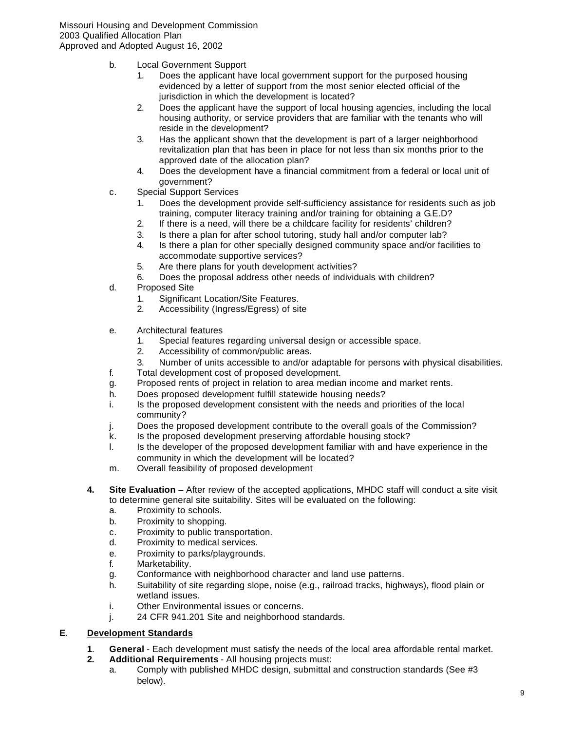- b. Local Government Support
	- 1. Does the applicant have local government support for the purposed housing evidenced by a letter of support from the most senior elected official of the jurisdiction in which the development is located?
	- 2. Does the applicant have the support of local housing agencies, including the local housing authority, or service providers that are familiar with the tenants who will reside in the development?
	- 3. Has the applicant shown that the development is part of a larger neighborhood revitalization plan that has been in place for not less than six months prior to the approved date of the allocation plan?
	- 4. Does the development have a financial commitment from a federal or local unit of government?
- c. Special Support Services
	- 1. Does the development provide self-sufficiency assistance for residents such as job training, computer literacy training and/or training for obtaining a G.E.D?
	- 2. If there is a need, will there be a childcare facility for residents' children?
	- 3. Is there a plan for after school tutoring, study hall and/or computer lab?
	- 4. Is there a plan for other specially designed community space and/or facilities to accommodate supportive services?
	- 5. Are there plans for youth development activities?
	- 6. Does the proposal address other needs of individuals with children?
- d. Proposed Site
	- 1. Significant Location/Site Features.
	- 2. Accessibility (Ingress/Egress) of site
- e. Architectural features
	- 1. Special features regarding universal design or accessible space.
	- 2. Accessibility of common/public areas.
	- 3. Number of units accessible to and/or adaptable for persons with physical disabilities.
- f. Total development cost of proposed development.
- g. Proposed rents of project in relation to area median income and market rents.
- h. Does proposed development fulfill statewide housing needs?
- i. Is the proposed development consistent with the needs and priorities of the local community?
- j. Does the proposed development contribute to the overall goals of the Commission?
- k. Is the proposed development preserving affordable housing stock?
- l. Is the developer of the proposed development familiar with and have experience in the community in which the development will be located?
- m. Overall feasibility of proposed development
- **4. Site Evaluation** After review of the accepted applications, MHDC staff will conduct a site visit to determine general site suitability. Sites will be evaluated on the following:
	- a. Proximity to schools.
	- b. Proximity to shopping.
	- c. Proximity to public transportation.
	- d. Proximity to medical services.
	- e. Proximity to parks/playgrounds.
	- f. Marketability.
	- g. Conformance with neighborhood character and land use patterns.
	- h. Suitability of site regarding slope, noise (e.g., railroad tracks, highways), flood plain or wetland issues.
	- i. Other Environmental issues or concerns.
	- j. 24 CFR 941.201 Site and neighborhood standards.

# **E**. **Development Standards**

- **1**. **General** Each development must satisfy the needs of the local area affordable rental market.
- **2. Additional Requirements** All housing projects must:
	- a. Comply with published MHDC design, submittal and construction standards (See #3 below).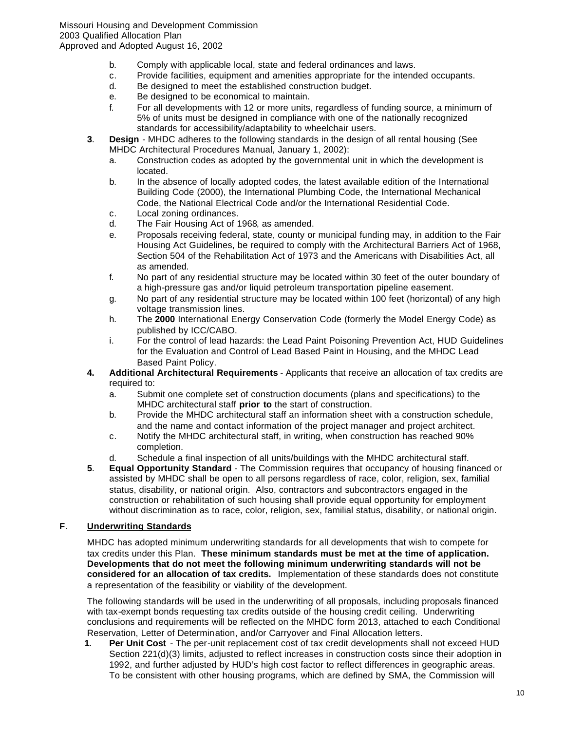- b. Comply with applicable local, state and federal ordinances and laws.
- c. Provide facilities, equipment and amenities appropriate for the intended occupants.
- d. Be designed to meet the established construction budget.
- e. Be designed to be economical to maintain.
- f. For all developments with 12 or more units, regardless of funding source, a minimum of 5% of units must be designed in compliance with one of the nationally recognized standards for accessibility/adaptability to wheelchair users.
- **3**. **Design** MHDC adheres to the following standards in the design of all rental housing (See MHDC Architectural Procedures Manual, January 1, 2002):
	- a. Construction codes as adopted by the governmental unit in which the development is located.
	- b. In the absence of locally adopted codes, the latest available edition of the International Building Code (2000), the International Plumbing Code, the International Mechanical Code, the National Electrical Code and/or the International Residential Code.
	- c. Local zoning ordinances.
	- d. The Fair Housing Act of 1968, as amended.
	- e. Proposals receiving federal, state, county or municipal funding may, in addition to the Fair Housing Act Guidelines, be required to comply with the Architectural Barriers Act of 1968, Section 504 of the Rehabilitation Act of 1973 and the Americans with Disabilities Act, all as amended.
	- f. No part of any residential structure may be located within 30 feet of the outer boundary of a high-pressure gas and/or liquid petroleum transportation pipeline easement.
	- g. No part of any residential structure may be located within 100 feet (horizontal) of any high voltage transmission lines.
	- h. The **2000** International Energy Conservation Code (formerly the Model Energy Code) as published by ICC/CABO.
	- i. For the control of lead hazards: the Lead Paint Poisoning Prevention Act, HUD Guidelines for the Evaluation and Control of Lead Based Paint in Housing, and the MHDC Lead Based Paint Policy.
- **4. Additional Architectural Requirements** Applicants that receive an allocation of tax credits are required to:
	- a. Submit one complete set of construction documents (plans and specifications) to the MHDC architectural staff **prior to** the start of construction.
	- b. Provide the MHDC architectural staff an information sheet with a construction schedule, and the name and contact information of the project manager and project architect.
	- c. Notify the MHDC architectural staff, in writing, when construction has reached 90% completion.
	- d. Schedule a final inspection of all units/buildings with the MHDC architectural staff.
- **5**. **Equal Opportunity Standard** The Commission requires that occupancy of housing financed or assisted by MHDC shall be open to all persons regardless of race, color, religion, sex, familial status, disability, or national origin. Also, contractors and subcontractors engaged in the construction or rehabilitation of such housing shall provide equal opportunity for employment without discrimination as to race, color, religion, sex, familial status, disability, or national origin.

# **F**. **Underwriting Standards**

MHDC has adopted minimum underwriting standards for all developments that wish to compete for tax credits under this Plan. **These minimum standards must be met at the time of application. Developments that do not meet the following minimum underwriting standards will not be considered for an allocation of tax credits.** Implementation of these standards does not constitute a representation of the feasibility or viability of the development.

The following standards will be used in the underwriting of all proposals, including proposals financed with tax-exempt bonds requesting tax credits outside of the housing credit ceiling. Underwriting conclusions and requirements will be reflected on the MHDC form 2013, attached to each Conditional Reservation, Letter of Determination, and/or Carryover and Final Allocation letters.

**1. Per Unit Cost** - The per-unit replacement cost of tax credit developments shall not exceed HUD Section 221(d)(3) limits, adjusted to reflect increases in construction costs since their adoption in 1992, and further adjusted by HUD's high cost factor to reflect differences in geographic areas. To be consistent with other housing programs, which are defined by SMA, the Commission will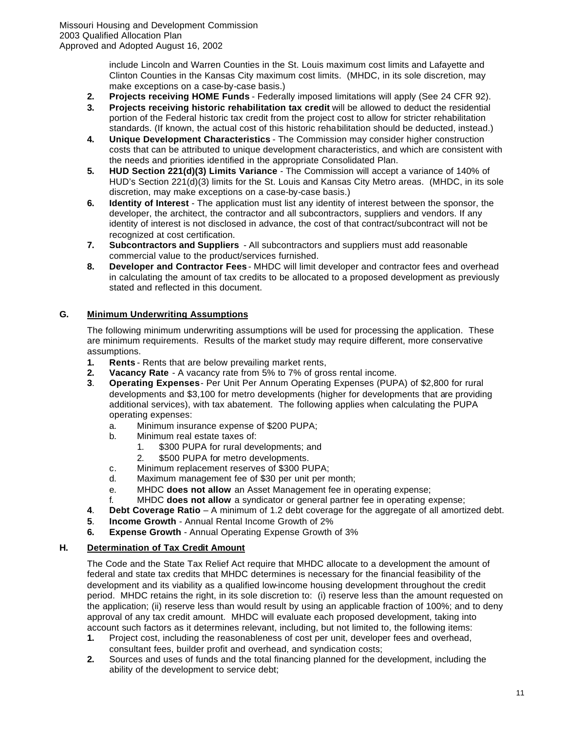include Lincoln and Warren Counties in the St. Louis maximum cost limits and Lafayette and Clinton Counties in the Kansas City maximum cost limits. (MHDC, in its sole discretion, may make exceptions on a case-by-case basis.)

- **2. Projects receiving HOME Funds** Federally imposed limitations will apply (See 24 CFR 92).
- **3. Projects receiving historic rehabilitation tax credit** will be allowed to deduct the residential portion of the Federal historic tax credit from the project cost to allow for stricter rehabilitation standards. (If known, the actual cost of this historic rehabilitation should be deducted, instead.)
- **4. Unique Development Characteristics** The Commission may consider higher construction costs that can be attributed to unique development characteristics, and which are consistent with the needs and priorities identified in the appropriate Consolidated Plan.
- **5. HUD Section 221(d)(3) Limits Variance**  The Commission will accept a variance of 140% of HUD's Section 221(d)(3) limits for the St. Louis and Kansas City Metro areas. (MHDC, in its sole discretion, may make exceptions on a case-by-case basis.)
- **6. Identity of Interest** The application must list any identity of interest between the sponsor, the developer, the architect, the contractor and all subcontractors, suppliers and vendors. If any identity of interest is not disclosed in advance, the cost of that contract/subcontract will not be recognized at cost certification.
- **7. Subcontractors and Suppliers**  All subcontractors and suppliers must add reasonable commercial value to the product/services furnished.
- **8. Developer and Contractor Fees** MHDC will limit developer and contractor fees and overhead in calculating the amount of tax credits to be allocated to a proposed development as previously stated and reflected in this document.

# **G. Minimum Underwriting Assumptions**

The following minimum underwriting assumptions will be used for processing the application. These are minimum requirements. Results of the market study may require different, more conservative assumptions.

- **1. Rents** Rents that are below prevailing market rents,
- **2. Vacancy Rate** A vacancy rate from 5% to 7% of gross rental income.
- **3**. **Operating Expenses** Per Unit Per Annum Operating Expenses (PUPA) of \$2,800 for rural developments and \$3,100 for metro developments (higher for developments that are providing additional services), with tax abatement. The following applies when calculating the PUPA operating expenses:
	- a. Minimum insurance expense of \$200 PUPA;
	- b. Minimum real estate taxes of:
		- 1. \$300 PUPA for rural developments; and
		- 2. \$500 PUPA for metro developments.
	- c. Minimum replacement reserves of \$300 PUPA;
	- d. Maximum management fee of \$30 per unit per month;
	- e. MHDC **does not allow** an Asset Management fee in operating expense;
	- f. MHDC **does not allow** a syndicator or general partner fee in operating expense;
- **4**. **Debt Coverage Ratio** A minimum of 1.2 debt coverage for the aggregate of all amortized debt.
- **5**. **Income Growth** Annual Rental Income Growth of 2%
- **6. Expense Growth** Annual Operating Expense Growth of 3%

# **H. Determination of Tax Credit Amount**

The Code and the State Tax Relief Act require that MHDC allocate to a development the amount of federal and state tax credits that MHDC determines is necessary for the financial feasibility of the development and its viability as a qualified low-income housing development throughout the credit period. MHDC retains the right, in its sole discretion to: (i) reserve less than the amount requested on the application; (ii) reserve less than would result by using an applicable fraction of 100%; and to deny approval of any tax credit amount. MHDC will evaluate each proposed development, taking into account such factors as it determines relevant, including, but not limited to, the following items:

- **1.** Project cost, including the reasonableness of cost per unit, developer fees and overhead, consultant fees, builder profit and overhead, and syndication costs;
- **2.** Sources and uses of funds and the total financing planned for the development, including the ability of the development to service debt;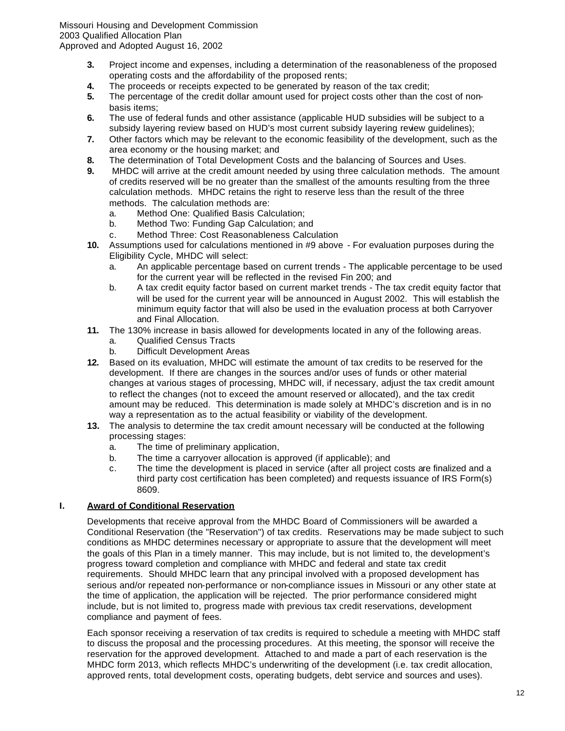- **3.** Project income and expenses, including a determination of the reasonableness of the proposed operating costs and the affordability of the proposed rents;
- **4.** The proceeds or receipts expected to be generated by reason of the tax credit;
- **5.** The percentage of the credit dollar amount used for project costs other than the cost of nonbasis items;
- **6.** The use of federal funds and other assistance (applicable HUD subsidies will be subject to a subsidy layering review based on HUD's most current subsidy layering review guidelines);
- **7.** Other factors which may be relevant to the economic feasibility of the development, such as the area economy or the housing market; and
- **8.** The determination of Total Development Costs and the balancing of Sources and Uses.
- **9.** MHDC will arrive at the credit amount needed by using three calculation methods. The amount of credits reserved will be no greater than the smallest of the amounts resulting from the three calculation methods. MHDC retains the right to reserve less than the result of the three methods. The calculation methods are:
	- a. Method One: Qualified Basis Calculation;
	- b. Method Two: Funding Gap Calculation; and
	- c. Method Three: Cost Reasonableness Calculation
- **10.** Assumptions used for calculations mentioned in #9 above For evaluation purposes during the Eligibility Cycle, MHDC will select:
	- a. An applicable percentage based on current trends The applicable percentage to be used for the current year will be reflected in the revised Fin 200; and
	- b. A tax credit equity factor based on current market trends The tax credit equity factor that will be used for the current year will be announced in August 2002. This will establish the minimum equity factor that will also be used in the evaluation process at both Carryover and Final Allocation.
- **11.** The 130% increase in basis allowed for developments located in any of the following areas.
	- a. Qualified Census Tracts
	- b. Difficult Development Areas
- **12.** Based on its evaluation, MHDC will estimate the amount of tax credits to be reserved for the development. If there are changes in the sources and/or uses of funds or other material changes at various stages of processing, MHDC will, if necessary, adjust the tax credit amount to reflect the changes (not to exceed the amount reserved or allocated), and the tax credit amount may be reduced. This determination is made solely at MHDC's discretion and is in no way a representation as to the actual feasibility or viability of the development.
- **13.** The analysis to determine the tax credit amount necessary will be conducted at the following processing stages:
	- a. The time of preliminary application,
	- b. The time a carryover allocation is approved (if applicable); and
	- c. The time the development is placed in service (after all project costs are finalized and a third party cost certification has been completed) and requests issuance of IRS Form(s) 8609.

#### **I. Award of Conditional Reservation**

Developments that receive approval from the MHDC Board of Commissioners will be awarded a Conditional Reservation (the "Reservation") of tax credits. Reservations may be made subject to such conditions as MHDC determines necessary or appropriate to assure that the development will meet the goals of this Plan in a timely manner. This may include, but is not limited to, the development's progress toward completion and compliance with MHDC and federal and state tax credit requirements. Should MHDC learn that any principal involved with a proposed development has serious and/or repeated non-performance or non-compliance issues in Missouri or any other state at the time of application, the application will be rejected. The prior performance considered might include, but is not limited to, progress made with previous tax credit reservations, development compliance and payment of fees.

Each sponsor receiving a reservation of tax credits is required to schedule a meeting with MHDC staff to discuss the proposal and the processing procedures. At this meeting, the sponsor will receive the reservation for the approved development. Attached to and made a part of each reservation is the MHDC form 2013, which reflects MHDC's underwriting of the development (i.e. tax credit allocation, approved rents, total development costs, operating budgets, debt service and sources and uses).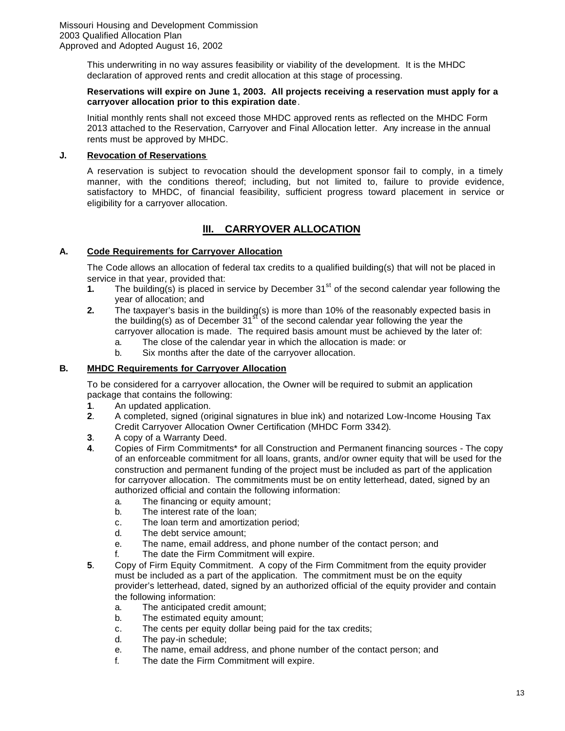This underwriting in no way assures feasibility or viability of the development. It is the MHDC declaration of approved rents and credit allocation at this stage of processing.

#### **Reservations will expire on June 1, 2003. All projects receiving a reservation must apply for a carryover allocation prior to this expiration date**.

Initial monthly rents shall not exceed those MHDC approved rents as reflected on the MHDC Form 2013 attached to the Reservation, Carryover and Final Allocation letter. Any increase in the annual rents must be approved by MHDC.

#### **J. Revocation of Reservations**

A reservation is subject to revocation should the development sponsor fail to comply, in a timely manner, with the conditions thereof; including, but not limited to, failure to provide evidence, satisfactory to MHDC, of financial feasibility, sufficient progress toward placement in service or eligibility for a carryover allocation.

# **lII. CARRYOVER ALLOCATION**

# **A. Code Requirements for Carryover Allocation**

The Code allows an allocation of federal tax credits to a qualified building(s) that will not be placed in service in that year, provided that:

- **1.** The building(s) is placed in service by December  $31<sup>st</sup>$  of the second calendar year following the year of allocation; and
- **2.** The taxpayer's basis in the building(s) is more than 10% of the reasonably expected basis in the building(s) as of December  $31<sup>st</sup>$  of the second calendar year following the year the carryover allocation is made. The required basis amount must be achieved by the later of:
	- a. The close of the calendar year in which the allocation is made: or
	- b. Six months after the date of the carryover allocation.

# **B. MHDC Requirements for Carryover Allocation**

To be considered for a carryover allocation, the Owner will be required to submit an application package that contains the following:

- **1**. An updated application.
- **2**. A completed, signed (original signatures in blue ink) and notarized Low-Income Housing Tax Credit Carryover Allocation Owner Certification (MHDC Form 3342).
- **3**. A copy of a Warranty Deed.
- **4**. Copies of Firm Commitments\* for all Construction and Permanent financing sources The copy of an enforceable commitment for all loans, grants, and/or owner equity that will be used for the construction and permanent funding of the project must be included as part of the application for carryover allocation. The commitments must be on entity letterhead, dated, signed by an authorized official and contain the following information:
	- a. The financing or equity amount;
	- b. The interest rate of the loan;
	- c. The loan term and amortization period;
	- d. The debt service amount;
	- e. The name, email address, and phone number of the contact person; and
	- f. The date the Firm Commitment will expire.
- **5**. Copy of Firm Equity Commitment. A copy of the Firm Commitment from the equity provider must be included as a part of the application. The commitment must be on the equity provider's letterhead, dated, signed by an authorized official of the equity provider and contain the following information:
	- a. The anticipated credit amount;
	- b. The estimated equity amount;
	- c. The cents per equity dollar being paid for the tax credits;
	- d. The pay-in schedule;
	- e. The name, email address, and phone number of the contact person; and
	- f. The date the Firm Commitment will expire.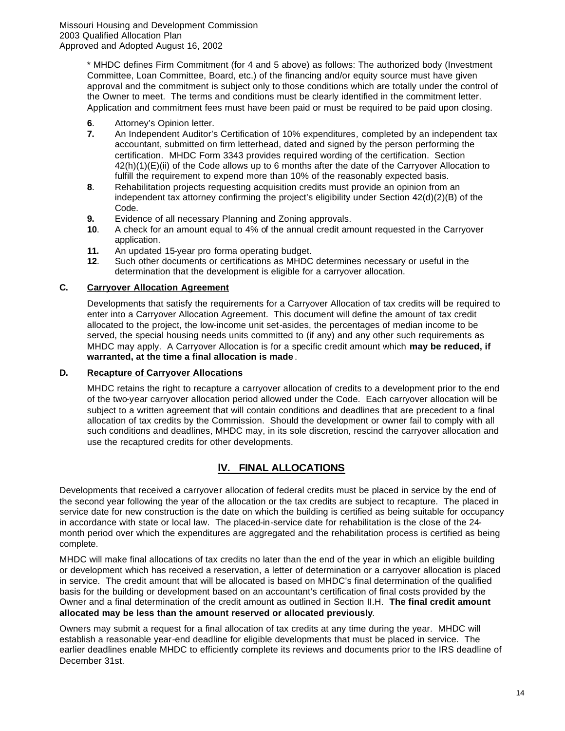\* MHDC defines Firm Commitment (for 4 and 5 above) as follows: The authorized body (Investment Committee, Loan Committee, Board, etc.) of the financing and/or equity source must have given approval and the commitment is subject only to those conditions which are totally under the control of the Owner to meet. The terms and conditions must be clearly identified in the commitment letter. Application and commitment fees must have been paid or must be required to be paid upon closing.

- **6**. Attorney's Opinion letter.
- **7.** An Independent Auditor's Certification of 10% expenditures*,* completed by an independent tax accountant, submitted on firm letterhead, dated and signed by the person performing the certification. MHDC Form 3343 provides required wording of the certification. Section 42(h)(1)(E)(ii) of the Code allows up to 6 months after the date of the Carryover Allocation to fulfill the requirement to expend more than 10% of the reasonably expected basis.
- **8**. Rehabilitation projects requesting acquisition credits must provide an opinion from an independent tax attorney confirming the project's eligibility under Section 42(d)(2)(B) of the Code.
- **9.** Evidence of all necessary Planning and Zoning approvals.
- **10**. A check for an amount equal to 4% of the annual credit amount requested in the Carryover application.
- **11.** An updated 15-year pro forma operating budget.
- **12**. Such other documents or certifications as MHDC determines necessary or useful in the determination that the development is eligible for a carryover allocation.

# **C. Carryover Allocation Agreement**

Developments that satisfy the requirements for a Carryover Allocation of tax credits will be required to enter into a Carryover Allocation Agreement. This document will define the amount of tax credit allocated to the project, the low-income unit set-asides, the percentages of median income to be served, the special housing needs units committed to (if any) and any other such requirements as MHDC may apply. A Carryover Allocation is for a specific credit amount which **may be reduced, if warranted, at the time a final allocation is made** .

# **D. Recapture of Carryover Allocations**

MHDC retains the right to recapture a carryover allocation of credits to a development prior to the end of the two-year carryover allocation period allowed under the Code. Each carryover allocation will be subject to a written agreement that will contain conditions and deadlines that are precedent to a final allocation of tax credits by the Commission. Should the development or owner fail to comply with all such conditions and deadlines, MHDC may, in its sole discretion, rescind the carryover allocation and use the recaptured credits for other developments.

# **lV. FINAL ALLOCATIONS**

Developments that received a carryover allocation of federal credits must be placed in service by the end of the second year following the year of the allocation or the tax credits are subject to recapture. The placed in service date for new construction is the date on which the building is certified as being suitable for occupancy in accordance with state or local law. The placed-in-service date for rehabilitation is the close of the 24 month period over which the expenditures are aggregated and the rehabilitation process is certified as being complete.

MHDC will make final allocations of tax credits no later than the end of the year in which an eligible building or development which has received a reservation, a letter of determination or a carryover allocation is placed in service. The credit amount that will be allocated is based on MHDC's final determination of the qualified basis for the building or development based on an accountant's certification of final costs provided by the Owner and a final determination of the credit amount as outlined in Section II.H. **The final credit amount allocated may be less than the amount reserved or allocated previously**.

Owners may submit a request for a final allocation of tax credits at any time during the year. MHDC will establish a reasonable year-end deadline for eligible developments that must be placed in service. The earlier deadlines enable MHDC to efficiently complete its reviews and documents prior to the IRS deadline of December 31st.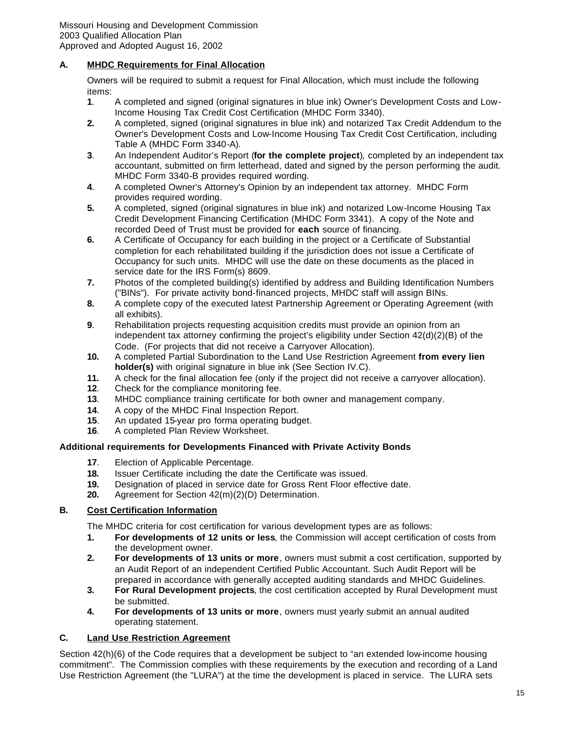# **A. MHDC Requirements for Final Allocation**

Owners will be required to submit a request for Final Allocation, which must include the following items:

- **1**. A completed and signed (original signatures in blue ink) Owner's Development Costs and Low-Income Housing Tax Credit Cost Certification (MHDC Form 3340).
- **2.** A completed, signed (original signatures in blue ink) and notarized Tax Credit Addendum to the Owner's Development Costs and Low-Income Housing Tax Credit Cost Certification, including Table A (MHDC Form 3340-A).
- **3**. An Independent Auditor's Report (**for the complete project**)*,* completed by an independent tax accountant, submitted on firm letterhead, dated and signed by the person performing the audit. MHDC Form 3340-B provides required wording.
- **4**. A completed Owner's Attorney's Opinion by an independent tax attorney. MHDC Form provides required wording.
- **5.** A completed, signed (original signatures in blue ink) and notarized Low-Income Housing Tax Credit Development Financing Certification (MHDC Form 3341). A copy of the Note and recorded Deed of Trust must be provided for **each** source of financing.
- **6.** A Certificate of Occupancy for each building in the project or a Certificate of Substantial completion for each rehabilitated building if the jurisdiction does not issue a Certificate of Occupancy for such units. MHDC will use the date on these documents as the placed in service date for the IRS Form(s) 8609.
- **7.** Photos of the completed building(s) identified by address and Building Identification Numbers ("BINs"). For private activity bond-financed projects, MHDC staff will assign BINs.
- **8.** A complete copy of the executed latest Partnership Agreement or Operating Agreement (with all exhibits).
- **9**. Rehabilitation projects requesting acquisition credits must provide an opinion from an independent tax attorney confirming the project's eligibility under Section 42(d)(2)(B) of the Code. (For projects that did not receive a Carryover Allocation).
- **10.** A completed Partial Subordination to the Land Use Restriction Agreement **from every lien holder(s)** with original signature in blue ink (See Section IV.C).
- **11.** A check for the final allocation fee (only if the project did not receive a carryover allocation).
- **12**. Check for the compliance monitoring fee.
- **13**. MHDC compliance training certificate for both owner and management company.
- **14**. A copy of the MHDC Final Inspection Report.
- **15**. An updated 15-year pro forma operating budget.
- **16**. A completed Plan Review Worksheet.

# **Additional requirements for Developments Financed with Private Activity Bonds**

- **17**. Election of Applicable Percentage.
- **18.** Issuer Certificate including the date the Certificate was issued.
- **19.** Designation of placed in service date for Gross Rent Floor effective date.
- **20.** Agreement for Section 42(m)(2)(D) Determination.

# **B. Cost Certification Information**

The MHDC criteria for cost certification for various development types are as follows:

- **1. For developments of 12 units or less**, the Commission will accept certification of costs from the development owner.
- **2. For developments of 13 units or more**, owners must submit a cost certification, supported by an Audit Report of an independent Certified Public Accountant. Such Audit Report will be prepared in accordance with generally accepted auditing standards and MHDC Guidelines.
- **3. For Rural Development projects**, the cost certification accepted by Rural Development must be submitted.
- **4. For developments of 13 units or more**, owners must yearly submit an annual audited operating statement.

#### **C. Land Use Restriction Agreement**

Section 42(h)(6) of the Code requires that a development be subject to "an extended low-income housing commitment". The Commission complies with these requirements by the execution and recording of a Land Use Restriction Agreement (the "LURA") at the time the development is placed in service. The LURA sets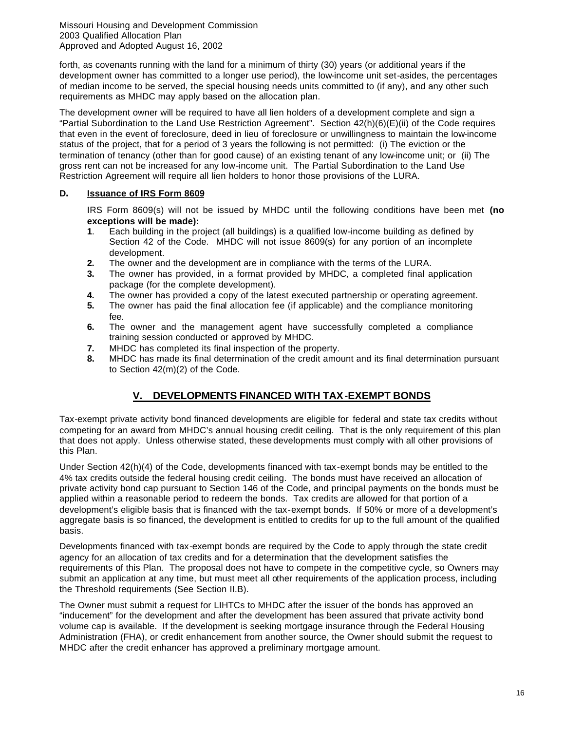forth, as covenants running with the land for a minimum of thirty (30) years (or additional years if the development owner has committed to a longer use period), the low-income unit set-asides, the percentages of median income to be served, the special housing needs units committed to (if any), and any other such requirements as MHDC may apply based on the allocation plan.

The development owner will be required to have all lien holders of a development complete and sign a "Partial Subordination to the Land Use Restriction Agreement". Section 42(h)(6)(E)(ii) of the Code requires that even in the event of foreclosure, deed in lieu of foreclosure or unwillingness to maintain the low-income status of the project, that for a period of 3 years the following is not permitted: (i) The eviction or the termination of tenancy (other than for good cause) of an existing tenant of any low-income unit; or (ii) The gross rent can not be increased for any low-income unit. The Partial Subordination to the Land Use Restriction Agreement will require all lien holders to honor those provisions of the LURA.

# **D. Issuance of IRS Form 8609**

IRS Form 8609(s) will not be issued by MHDC until the following conditions have been met **(no exceptions will be made):**

- **1**. Each building in the project (all buildings) is a qualified low-income building as defined by Section 42 of the Code. MHDC will not issue 8609(s) for any portion of an incomplete development.
- **2.** The owner and the development are in compliance with the terms of the LURA.
- **3.** The owner has provided, in a format provided by MHDC, a completed final application package (for the complete development).
- **4.** The owner has provided a copy of the latest executed partnership or operating agreement.
- **5.** The owner has paid the final allocation fee (if applicable) and the compliance monitoring fee.
- **6.** The owner and the management agent have successfully completed a compliance training session conducted or approved by MHDC.
- **7.** MHDC has completed its final inspection of the property.
- **8.** MHDC has made its final determination of the credit amount and its final determination pursuant to Section 42(m)(2) of the Code.

# **V. DEVELOPMENTS FINANCED WITH TAX-EXEMPT BONDS**

Tax-exempt private activity bond financed developments are eligible for federal and state tax credits without competing for an award from MHDC's annual housing credit ceiling. That is the only requirement of this plan that does not apply. Unless otherwise stated, these developments must comply with all other provisions of this Plan.

Under Section 42(h)(4) of the Code, developments financed with tax-exempt bonds may be entitled to the 4% tax credits outside the federal housing credit ceiling. The bonds must have received an allocation of private activity bond cap pursuant to Section 146 of the Code, and principal payments on the bonds must be applied within a reasonable period to redeem the bonds. Tax credits are allowed for that portion of a development's eligible basis that is financed with the tax-exempt bonds. If 50% or more of a development's aggregate basis is so financed, the development is entitled to credits for up to the full amount of the qualified basis.

Developments financed with tax-exempt bonds are required by the Code to apply through the state credit agency for an allocation of tax credits and for a determination that the development satisfies the requirements of this Plan. The proposal does not have to compete in the competitive cycle, so Owners may submit an application at any time, but must meet all other requirements of the application process, including the Threshold requirements (See Section II.B).

The Owner must submit a request for LIHTCs to MHDC after the issuer of the bonds has approved an "inducement" for the development and after the development has been assured that private activity bond volume cap is available. If the development is seeking mortgage insurance through the Federal Housing Administration (FHA), or credit enhancement from another source, the Owner should submit the request to MHDC after the credit enhancer has approved a preliminary mortgage amount.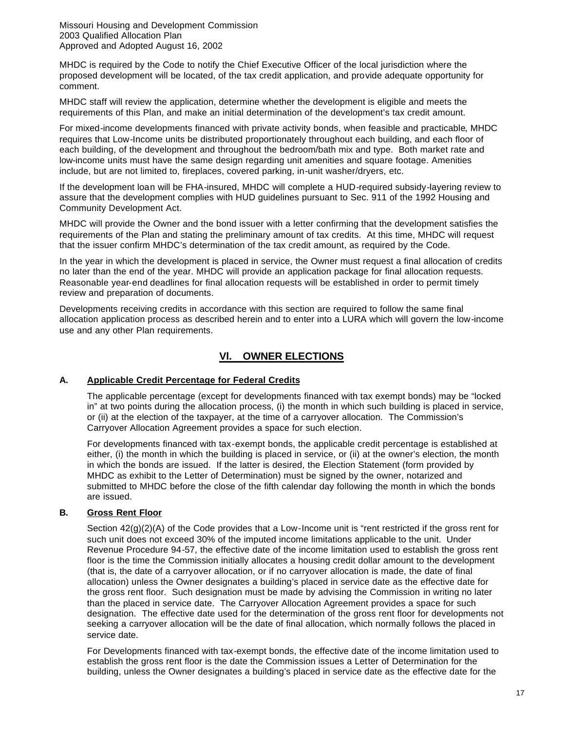MHDC is required by the Code to notify the Chief Executive Officer of the local jurisdiction where the proposed development will be located, of the tax credit application, and provide adequate opportunity for comment.

MHDC staff will review the application, determine whether the development is eligible and meets the requirements of this Plan, and make an initial determination of the development's tax credit amount.

For mixed-income developments financed with private activity bonds, when feasible and practicable, MHDC requires that Low-Income units be distributed proportionately throughout each building, and each floor of each building, of the development and throughout the bedroom/bath mix and type. Both market rate and low-income units must have the same design regarding unit amenities and square footage. Amenities include, but are not limited to, fireplaces, covered parking, in-unit washer/dryers, etc.

If the development loan will be FHA-insured, MHDC will complete a HUD-required subsidy-layering review to assure that the development complies with HUD guidelines pursuant to Sec. 911 of the 1992 Housing and Community Development Act.

MHDC will provide the Owner and the bond issuer with a letter confirming that the development satisfies the requirements of the Plan and stating the preliminary amount of tax credits. At this time, MHDC will request that the issuer confirm MHDC's determination of the tax credit amount, as required by the Code.

In the year in which the development is placed in service, the Owner must request a final allocation of credits no later than the end of the year. MHDC will provide an application package for final allocation requests. Reasonable year-end deadlines for final allocation requests will be established in order to permit timely review and preparation of documents.

Developments receiving credits in accordance with this section are required to follow the same final allocation application process as described herein and to enter into a LURA which will govern the low-income use and any other Plan requirements.

# **Vl. OWNER ELECTIONS**

#### **A. Applicable Credit Percentage for Federal Credits**

The applicable percentage (except for developments financed with tax exempt bonds) may be "locked in" at two points during the allocation process, (i) the month in which such building is placed in service, or (ii) at the election of the taxpayer, at the time of a carryover allocation. The Commission's Carryover Allocation Agreement provides a space for such election.

For developments financed with tax-exempt bonds, the applicable credit percentage is established at either, (i) the month in which the building is placed in service, or (ii) at the owner's election, the month in which the bonds are issued. If the latter is desired, the Election Statement (form provided by MHDC as exhibit to the Letter of Determination) must be signed by the owner, notarized and submitted to MHDC before the close of the fifth calendar day following the month in which the bonds are issued.

# **B. Gross Rent Floor**

Section  $42(q)(2)(A)$  of the Code provides that a Low-Income unit is "rent restricted if the gross rent for such unit does not exceed 30% of the imputed income limitations applicable to the unit. Under Revenue Procedure 94-57, the effective date of the income limitation used to establish the gross rent floor is the time the Commission initially allocates a housing credit dollar amount to the development (that is, the date of a carryover allocation, or if no carryover allocation is made, the date of final allocation) unless the Owner designates a building's placed in service date as the effective date for the gross rent floor. Such designation must be made by advising the Commission in writing no later than the placed in service date. The Carryover Allocation Agreement provides a space for such designation. The effective date used for the determination of the gross rent floor for developments not seeking a carryover allocation will be the date of final allocation, which normally follows the placed in service date.

For Developments financed with tax-exempt bonds, the effective date of the income limitation used to establish the gross rent floor is the date the Commission issues a Letter of Determination for the building, unless the Owner designates a building's placed in service date as the effective date for the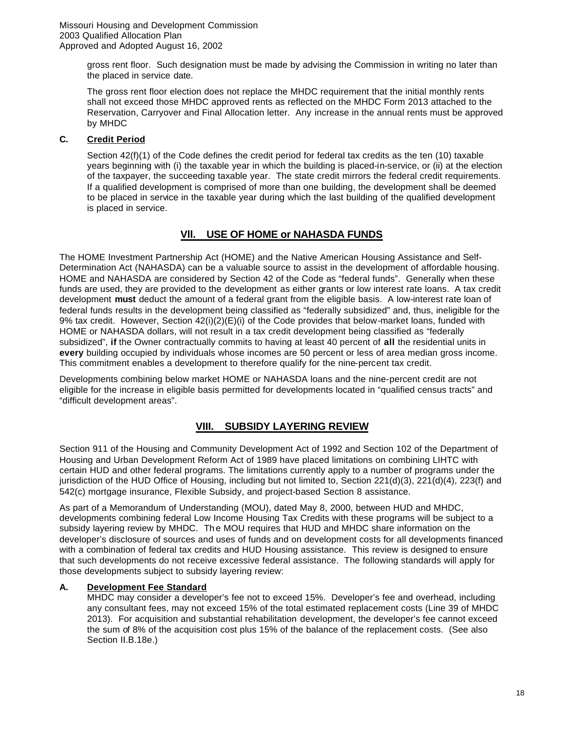> gross rent floor. Such designation must be made by advising the Commission in writing no later than the placed in service date.

The gross rent floor election does not replace the MHDC requirement that the initial monthly rents shall not exceed those MHDC approved rents as reflected on the MHDC Form 2013 attached to the Reservation, Carryover and Final Allocation letter. Any increase in the annual rents must be approved by MHDC

### **C. Credit Period**

Section 42(f)(1) of the Code defines the credit period for federal tax credits as the ten (10) taxable years beginning with (i) the taxable year in which the building is placed-in-service, or (ii) at the election of the taxpayer, the succeeding taxable year. The state credit mirrors the federal credit requirements. If a qualified development is comprised of more than one building, the development shall be deemed to be placed in service in the taxable year during which the last building of the qualified development is placed in service.

# **Vll. USE OF HOME or NAHASDA FUNDS**

The HOME Investment Partnership Act (HOME) and the Native American Housing Assistance and Self-Determination Act (NAHASDA) can be a valuable source to assist in the development of affordable housing. HOME and NAHASDA are considered by Section 42 of the Code as "federal funds". Generally when these funds are used, they are provided to the development as either grants or low interest rate loans. A tax credit development **must** deduct the amount of a federal grant from the eligible basis. A low-interest rate loan of federal funds results in the development being classified as "federally subsidized" and, thus, ineligible for the 9% tax credit. However, Section 42(i)(2)(E)(i) of the Code provides that below-market loans, funded with HOME or NAHASDA dollars, will not result in a tax credit development being classified as "federally subsidized", **if** the Owner contractually commits to having at least 40 percent of **all** the residential units in **every** building occupied by individuals whose incomes are 50 percent or less of area median gross income. This commitment enables a development to therefore qualify for the nine-percent tax credit.

Developments combining below market HOME or NAHASDA loans and the nine-percent credit are not eligible for the increase in eligible basis permitted for developments located in "qualified census tracts" and "difficult development areas".

# **VIII. SUBSIDY LAYERING REVIEW**

Section 911 of the Housing and Community Development Act of 1992 and Section 102 of the Department of Housing and Urban Development Reform Act of 1989 have placed limitations on combining LIHTC with certain HUD and other federal programs. The limitations currently apply to a number of programs under the jurisdiction of the HUD Office of Housing, including but not limited to, Section 221(d)(3), 221(d)(4), 223(f) and 542(c) mortgage insurance, Flexible Subsidy, and project-based Section 8 assistance.

As part of a Memorandum of Understanding (MOU), dated May 8, 2000, between HUD and MHDC, developments combining federal Low Income Housing Tax Credits with these programs will be subject to a subsidy layering review by MHDC. Th e MOU requires that HUD and MHDC share information on the developer's disclosure of sources and uses of funds and on development costs for all developments financed with a combination of federal tax credits and HUD Housing assistance. This review is designed to ensure that such developments do not receive excessive federal assistance. The following standards will apply for those developments subject to subsidy layering review:

#### **A. Development Fee Standard**

MHDC may consider a developer's fee not to exceed 15%. Developer's fee and overhead, including any consultant fees, may not exceed 15% of the total estimated replacement costs (Line 39 of MHDC 2013). For acquisition and substantial rehabilitation development, the developer's fee cannot exceed the sum of 8% of the acquisition cost plus 15% of the balance of the replacement costs. (See also Section II.B.18e.)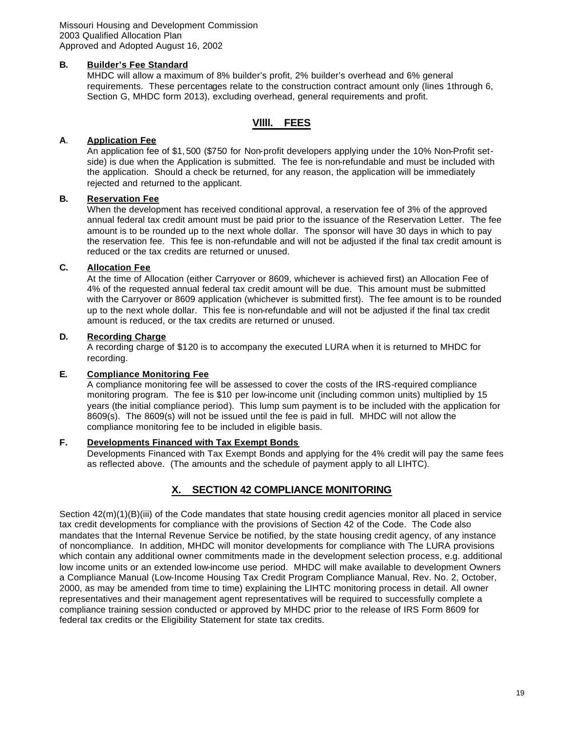#### **B. Builder's Fee Standard**

MHDC will allow a maximum of 8% builder's profit, 2% builder's overhead and 6% general requirements. These percentages relate to the construction contract amount only (lines 1through 6, Section G, MHDC form 2013), excluding overhead, general requirements and profit.

# **Vllll. FEES**

# **A**. **Application Fee**

An application fee of \$1, 500 (\$750 for Non-profit developers applying under the 10% Non-Profit setside) is due when the Application is submitted. The fee is non-refundable and must be included with the application. Should a check be returned, for any reason, the application will be immediately rejected and returned to the applicant.

# **B. Reservation Fee**

When the development has received conditional approval, a reservation fee of 3% of the approved annual federal tax credit amount must be paid prior to the issuance of the Reservation Letter. The fee amount is to be rounded up to the next whole dollar. The sponsor will have 30 days in which to pay the reservation fee. This fee is non-refundable and will not be adjusted if the final tax credit amount is reduced or the tax credits are returned or unused.

# **C. Allocation Fee**

At the time of Allocation (either Carryover or 8609, whichever is achieved first) an Allocation Fee of 4% of the requested annual federal tax credit amount will be due. This amount must be submitted with the Carryover or 8609 application (whichever is submitted first). The fee amount is to be rounded up to the next whole dollar. This fee is non-refundable and will not be adjusted if the final tax credit amount is reduced, or the tax credits are returned or unused.

#### **D. Recording Charge**

A recording charge of \$120 is to accompany the executed LURA when it is returned to MHDC for recording.

#### **E. Compliance Monitoring Fee**

A compliance monitoring fee will be assessed to cover the costs of the IRS-required compliance monitoring program. The fee is \$10 per low-income unit (including common units) multiplied by 15 years (the initial compliance period). This lump sum payment is to be included with the application for 8609(s). The 8609(s) will not be issued until the fee is paid in full. MHDC will not allow the compliance monitoring fee to be included in eligible basis.

# **F. Developments Financed with Tax Exempt Bonds**

Developments Financed with Tax Exempt Bonds and applying for the 4% credit will pay the same fees as reflected above. (The amounts and the schedule of payment apply to all LIHTC).

# **X. SECTION 42 COMPLIANCE MONITORING**

Section 42(m)(1)(B)(iii) of the Code mandates that state housing credit agencies monitor all placed in service tax credit developments for compliance with the provisions of Section 42 of the Code. The Code also mandates that the Internal Revenue Service be notified, by the state housing credit agency, of any instance of noncompliance. In addition, MHDC will monitor developments for compliance with The LURA provisions which contain any additional owner commitments made in the development selection process, e.g. additional low income units or an extended low-income use period. MHDC will make available to development Owners a Compliance Manual (Low-Income Housing Tax Credit Program Compliance Manual, Rev. No. 2, October, 2000, as may be amended from time to time) explaining the LIHTC monitoring process in detail. All owner representatives and their management agent representatives will be required to successfully complete a compliance training session conducted or approved by MHDC prior to the release of IRS Form 8609 for federal tax credits or the Eligibility Statement for state tax credits.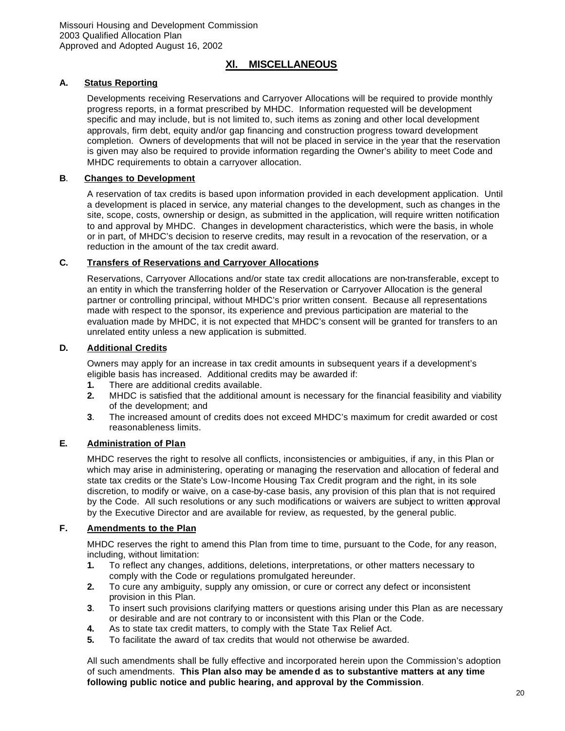# **Xl. MISCELLANEOUS**

# **A. Status Reporting**

Developments receiving Reservations and Carryover Allocations will be required to provide monthly progress reports, in a format prescribed by MHDC. Information requested will be development specific and may include, but is not limited to, such items as zoning and other local development approvals, firm debt, equity and/or gap financing and construction progress toward development completion. Owners of developments that will not be placed in service in the year that the reservation is given may also be required to provide information regarding the Owner's ability to meet Code and MHDC requirements to obtain a carryover allocation.

### **B**. **Changes to Development**

A reservation of tax credits is based upon information provided in each development application. Until a development is placed in service, any material changes to the development, such as changes in the site, scope, costs, ownership or design, as submitted in the application, will require written notification to and approval by MHDC. Changes in development characteristics, which were the basis, in whole or in part, of MHDC's decision to reserve credits, may result in a revocation of the reservation, or a reduction in the amount of the tax credit award.

# **C. Transfers of Reservations and Carryover Allocations**

Reservations, Carryover Allocations and/or state tax credit allocations are non-transferable, except to an entity in which the transferring holder of the Reservation or Carryover Allocation is the general partner or controlling principal, without MHDC's prior written consent. Because all representations made with respect to the sponsor, its experience and previous participation are material to the evaluation made by MHDC, it is not expected that MHDC's consent will be granted for transfers to an unrelated entity unless a new application is submitted.

#### **D. Additional Credits**

Owners may apply for an increase in tax credit amounts in subsequent years if a development's eligible basis has increased. Additional credits may be awarded if:

- **1.** There are additional credits available.
- **2.** MHDC is satisfied that the additional amount is necessary for the financial feasibility and viability of the development; and
- **3**. The increased amount of credits does not exceed MHDC's maximum for credit awarded or cost reasonableness limits.

# **E. Administration of Plan**

MHDC reserves the right to resolve all conflicts, inconsistencies or ambiguities, if any, in this Plan or which may arise in administering, operating or managing the reservation and allocation of federal and state tax credits or the State's Low-Income Housing Tax Credit program and the right, in its sole discretion, to modify or waive, on a case-by-case basis, any provision of this plan that is not required by the Code. All such resolutions or any such modifications or waivers are subject to written approval by the Executive Director and are available for review, as requested, by the general public.

# **F. Amendments to the Plan**

MHDC reserves the right to amend this Plan from time to time, pursuant to the Code, for any reason, including, without limitation:

- **1.** To reflect any changes, additions, deletions, interpretations, or other matters necessary to comply with the Code or regulations promulgated hereunder.
- **2.** To cure any ambiguity, supply any omission, or cure or correct any defect or inconsistent provision in this Plan.
- **3**. To insert such provisions clarifying matters or questions arising under this Plan as are necessary or desirable and are not contrary to or inconsistent with this Plan or the Code.
- **4.** As to state tax credit matters, to comply with the State Tax Relief Act.
- **5.** To facilitate the award of tax credits that would not otherwise be awarded.

All such amendments shall be fully effective and incorporated herein upon the Commission's adoption of such amendments. **This Plan also may be amende d as to substantive matters at any time following public notice and public hearing, and approval by the Commission**.